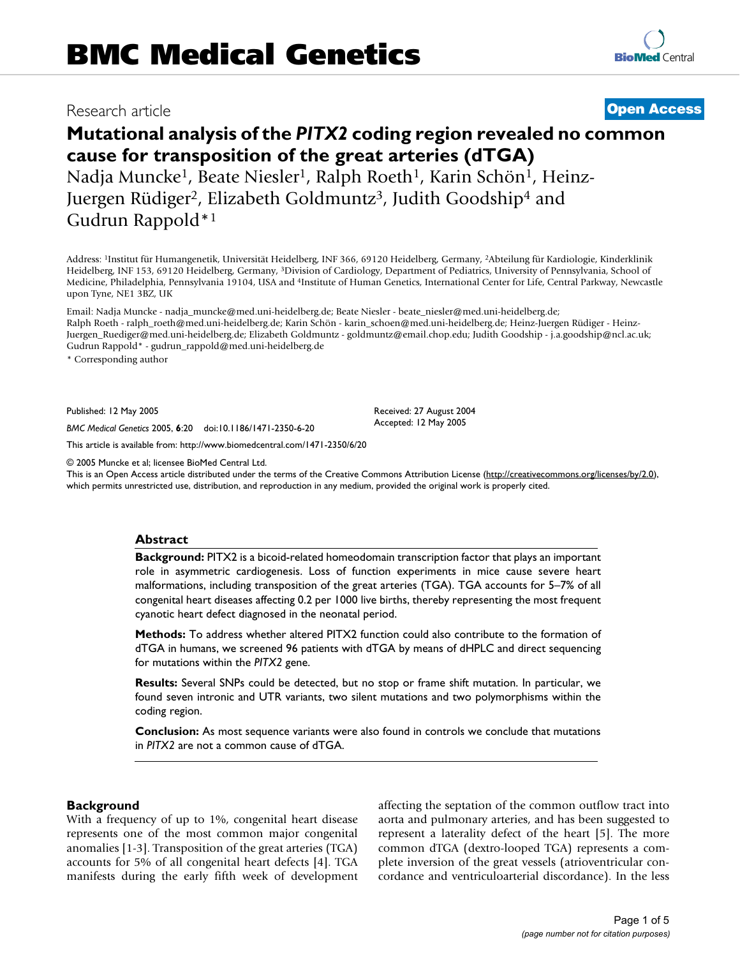**[BioMed](http://www.biomedcentral.com/)** Central

## Research article **[Open Access](http://www.biomedcentral.com/info/about/charter/)**

# **Mutational analysis of the** *PITX2* **coding region revealed no common cause for transposition of the great arteries (dTGA)**

Nadja Muncke<sup>1</sup>, Beate Niesler<sup>1</sup>, Ralph Roeth<sup>1</sup>, Karin Schön<sup>1</sup>, Heinz-Juergen Rüdiger<sup>2</sup>, Elizabeth Goldmuntz<sup>3</sup>, Judith Goodship<sup>4</sup> and Gudrun Rappold\*1

Address: 1Institut für Humangenetik, Universität Heidelberg, INF 366, 69120 Heidelberg, Germany, 2Abteilung für Kardiologie, Kinderklinik Heidelberg, INF 153, 69120 Heidelberg, Germany, 3Division of Cardiology, Department of Pediatrics, University of Pennsylvania, School of Medicine, Philadelphia, Pennsylvania 19104, USA and 4Institute of Human Genetics, International Center for Life, Central Parkway, Newcastle upon Tyne, NE1 3BZ, UK

Email: Nadja Muncke - nadja\_muncke@med.uni-heidelberg.de; Beate Niesler - beate\_niesler@med.uni-heidelberg.de; Ralph Roeth - ralph\_roeth@med.uni-heidelberg.de; Karin Schön - karin\_schoen@med.uni-heidelberg.de; Heinz-Juergen Rüdiger - Heinz-Juergen\_Ruediger@med.uni-heidelberg.de; Elizabeth Goldmuntz - goldmuntz@email.chop.edu; Judith Goodship - j.a.goodship@ncl.ac.uk; Gudrun Rappold\* - gudrun\_rappold@med.uni-heidelberg.de

\* Corresponding author

Published: 12 May 2005

*BMC Medical Genetics* 2005, **6**:20 doi:10.1186/1471-2350-6-20

[This article is available from: http://www.biomedcentral.com/1471-2350/6/20](http://www.biomedcentral.com/1471-2350/6/20)

© 2005 Muncke et al; licensee BioMed Central Ltd.

This is an Open Access article distributed under the terms of the Creative Commons Attribution License [\(http://creativecommons.org/licenses/by/2.0\)](http://creativecommons.org/licenses/by/2.0), which permits unrestricted use, distribution, and reproduction in any medium, provided the original work is properly cited.

Received: 27 August 2004 Accepted: 12 May 2005

#### **Abstract**

**Background:** PITX2 is a bicoid-related homeodomain transcription factor that plays an important role in asymmetric cardiogenesis. Loss of function experiments in mice cause severe heart malformations, including transposition of the great arteries (TGA). TGA accounts for 5–7% of all congenital heart diseases affecting 0.2 per 1000 live births, thereby representing the most frequent cyanotic heart defect diagnosed in the neonatal period.

**Methods:** To address whether altered PITX2 function could also contribute to the formation of dTGA in humans, we screened 96 patients with dTGA by means of dHPLC and direct sequencing for mutations within the *PITX2* gene.

**Results:** Several SNPs could be detected, but no stop or frame shift mutation. In particular, we found seven intronic and UTR variants, two silent mutations and two polymorphisms within the coding region.

**Conclusion:** As most sequence variants were also found in controls we conclude that mutations in *PITX2* are not a common cause of dTGA.

#### **Background**

With a frequency of up to 1%, congenital heart disease represents one of the most common major congenital anomalies [1-3]. Transposition of the great arteries (TGA) accounts for 5% of all congenital heart defects [4]. TGA manifests during the early fifth week of development affecting the septation of the common outflow tract into aorta and pulmonary arteries, and has been suggested to represent a laterality defect of the heart [5]. The more common dTGA (dextro-looped TGA) represents a complete inversion of the great vessels (atrioventricular concordance and ventriculoarterial discordance). In the less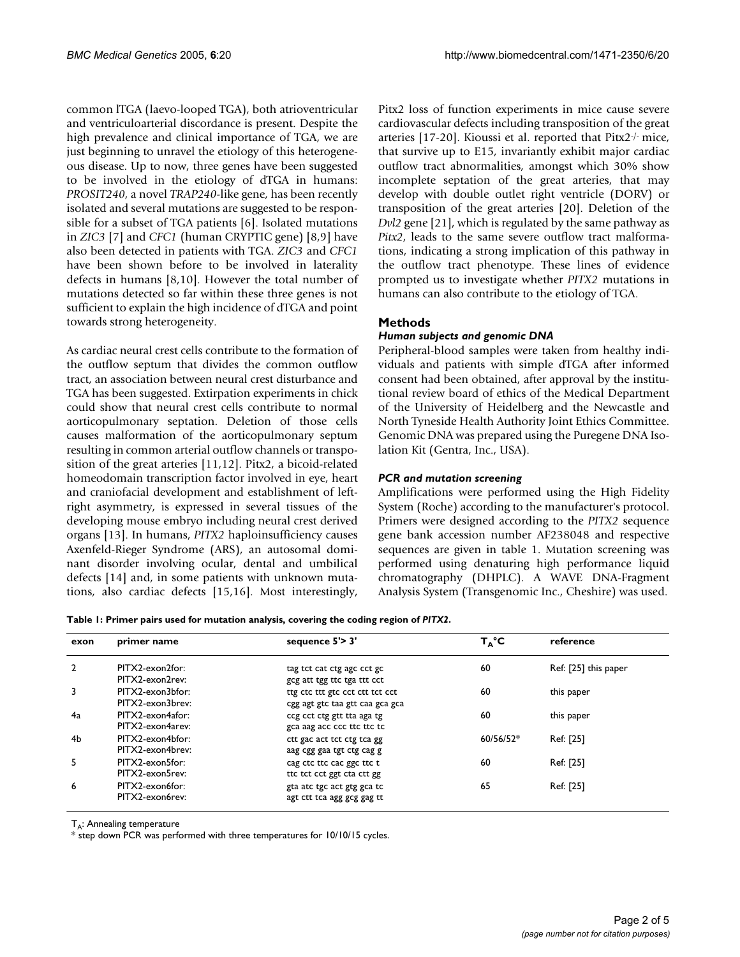common lTGA (laevo-looped TGA), both atrioventricular and ventriculoarterial discordance is present. Despite the high prevalence and clinical importance of TGA, we are just beginning to unravel the etiology of this heterogeneous disease. Up to now, three genes have been suggested to be involved in the etiology of dTGA in humans: *PROSIT240*, a novel *TRAP240*-like gene, has been recently isolated and several mutations are suggested to be responsible for a subset of TGA patients [6]. Isolated mutations in *ZIC3* [7] and *CFC1* (human CRYPTIC gene) [8,9] have also been detected in patients with TGA. *ZIC3* and *CFC1* have been shown before to be involved in laterality defects in humans [8,10]. However the total number of mutations detected so far within these three genes is not sufficient to explain the high incidence of dTGA and point towards strong heterogeneity.

As cardiac neural crest cells contribute to the formation of the outflow septum that divides the common outflow tract, an association between neural crest disturbance and TGA has been suggested. Extirpation experiments in chick could show that neural crest cells contribute to normal aorticopulmonary septation. Deletion of those cells causes malformation of the aorticopulmonary septum resulting in common arterial outflow channels or transposition of the great arteries [11,12]. Pitx2, a bicoid-related homeodomain transcription factor involved in eye, heart and craniofacial development and establishment of leftright asymmetry, is expressed in several tissues of the developing mouse embryo including neural crest derived organs [13]. In humans, *PITX2* haploinsufficiency causes Axenfeld-Rieger Syndrome (ARS), an autosomal dominant disorder involving ocular, dental and umbilical defects [14] and, in some patients with unknown mutations, also cardiac defects [15,16]. Most interestingly,

Pitx2 loss of function experiments in mice cause severe cardiovascular defects including transposition of the great arteries [17-20]. Kioussi et al. reported that Pitx2-/- mice, that survive up to E15, invariantly exhibit major cardiac outflow tract abnormalities, amongst which 30% show incomplete septation of the great arteries, that may develop with double outlet right ventricle (DORV) or transposition of the great arteries [20]. Deletion of the *Dvl2* gene [21], which is regulated by the same pathway as *Pitx2*, leads to the same severe outflow tract malformations, indicating a strong implication of this pathway in the outflow tract phenotype. These lines of evidence prompted us to investigate whether *PITX2* mutations in humans can also contribute to the etiology of TGA.

### **Methods**

### *Human subjects and genomic DNA*

Peripheral-blood samples were taken from healthy individuals and patients with simple dTGA after informed consent had been obtained, after approval by the institutional review board of ethics of the Medical Department of the University of Heidelberg and the Newcastle and North Tyneside Health Authority Joint Ethics Committee. Genomic DNA was prepared using the Puregene DNA Isolation Kit (Gentra, Inc., USA).

#### *PCR and mutation screening*

Amplifications were performed using the High Fidelity System (Roche) according to the manufacturer's protocol. Primers were designed according to the *PITX2* sequence gene bank accession number AF238048 and respective sequences are given in table 1. Mutation screening was performed using denaturing high performance liquid chromatography (DHPLC). A WAVE DNA-Fragment Analysis System (Transgenomic Inc., Cheshire) was used.

**Table 1: Primer pairs used for mutation analysis, covering the coding region of** *PITX2***.**

| exon           | primer name      | sequence $5'$ > 3'              | $T_\text{A}^\circ C$ | reference            |
|----------------|------------------|---------------------------------|----------------------|----------------------|
| $\overline{2}$ | PITX2-exon2for:  | tag tct cat ctg agc cct gc      | 60                   | Ref: [25] this paper |
|                | PITX2-exon2rev:  | gcg att tgg ttc tga ttt cct     |                      |                      |
| 3              | PITX2-exon3bfor: | ttg ctc ttt gtc cct ctt tct cct | 60                   | this paper           |
|                | PITX2-exon3brev: | cgg agt gtc taa gtt caa gca gca |                      |                      |
| 4a             | PITX2-exon4afor: | ccg cct ctg gtt tta aga tg      | 60                   | this paper           |
|                | PITX2-exon4arev: | gca aag acc ccc ttc ttc tc      |                      |                      |
| 4b             | PITX2-exon4bfor: | ctt gac act tct ctg tca gg      | $60/56/52*$          | Ref: [25]            |
|                | PITX2-exon4brev: | aag cgg gaa tgt ctg cag g       |                      |                      |
| 5.             | PITX2-exon5for:  | cag ctc ttc cac ggc ttc t       | 60                   | Ref: [25]            |
|                | PITX2-exon5rev:  | tte tet eet ggt eta ett gg      |                      |                      |
| 6              | PITX2-exon6for:  | gta atc tgc act gtg gca tc      | 65                   | Ref: [25]            |
|                | PITX2-exon6rev:  | agt ctt tca agg gcg gag tt      |                      |                      |

 $T_A$ : Annealing temperature

\* step down PCR was performed with three temperatures for 10/10/15 cycles.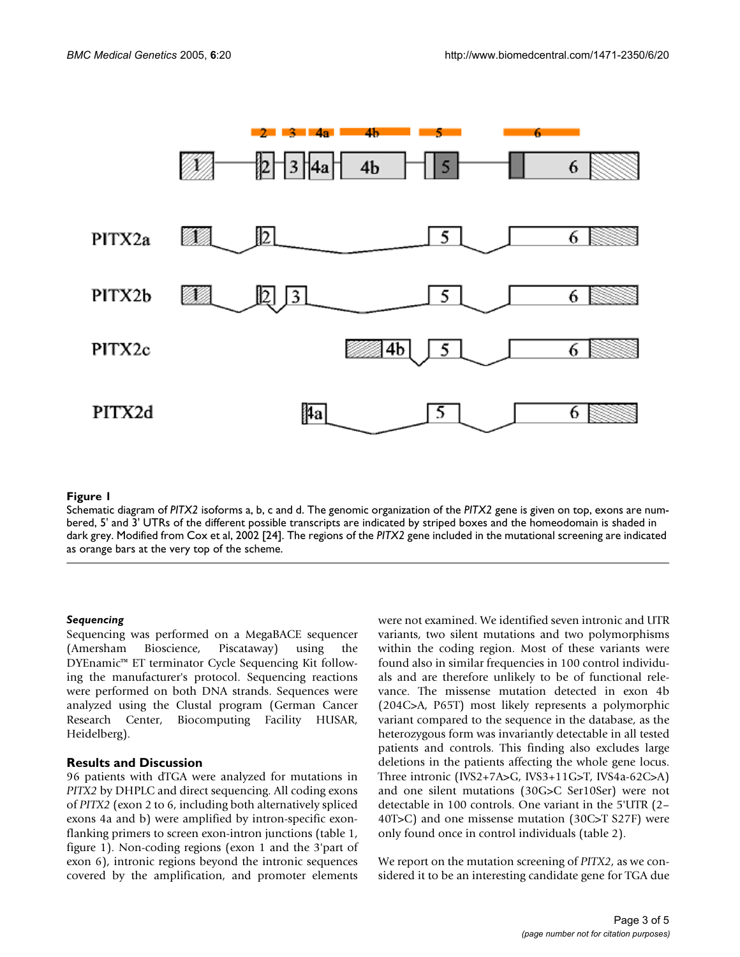

#### **Figure 1**

Schematic diagram of *PITX2* isoforms a, b, c and d. The genomic organization of the *PITX2* gene is given on top, exons are numbered, 5' and 3' UTRs of the different possible transcripts are indicated by striped boxes and the homeodomain is shaded in dark grey. Modified from Cox et al, 2002 [24]. The regions of the *PITX2* gene included in the mutational screening are indicated as orange bars at the very top of the scheme.

#### *Sequencing*

Sequencing was performed on a MegaBACE sequencer (Amersham Bioscience, Piscataway) using the DYEnamic™ ET terminator Cycle Sequencing Kit following the manufacturer's protocol. Sequencing reactions were performed on both DNA strands. Sequences were analyzed using the Clustal program (German Cancer Research Center, Biocomputing Facility HUSAR, Heidelberg).

#### **Results and Discussion**

96 patients with dTGA were analyzed for mutations in *PITX2* by DHPLC and direct sequencing. All coding exons of *PITX2* (exon 2 to 6, including both alternatively spliced exons 4a and b) were amplified by intron-specific exonflanking primers to screen exon-intron junctions (table 1, figure 1). Non-coding regions (exon 1 and the 3'part of exon 6), intronic regions beyond the intronic sequences covered by the amplification, and promoter elements were not examined. We identified seven intronic and UTR variants, two silent mutations and two polymorphisms within the coding region. Most of these variants were found also in similar frequencies in 100 control individuals and are therefore unlikely to be of functional relevance. The missense mutation detected in exon 4b (204C>A, P65T) most likely represents a polymorphic variant compared to the sequence in the database, as the heterozygous form was invariantly detectable in all tested patients and controls. This finding also excludes large deletions in the patients affecting the whole gene locus. Three intronic (IVS2+7A>G, IVS3+11G>T, IVS4a-62C>A) and one silent mutations (30G>C Ser10Ser) were not detectable in 100 controls. One variant in the 5'UTR (2– 40T>C) and one missense mutation (30C>T S27F) were only found once in control individuals (table [2\)](#page-3-0).

We report on the mutation screening of *PITX2*, as we considered it to be an interesting candidate gene for TGA due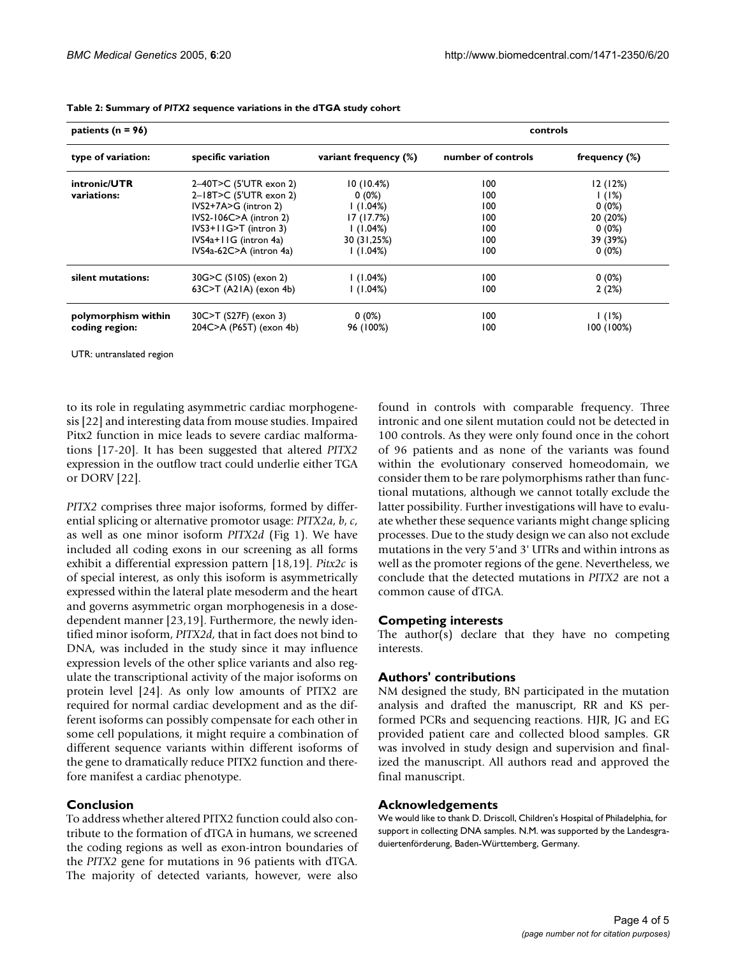| patients ( $n = 96$ ) |                            | controls              |                    |                  |
|-----------------------|----------------------------|-----------------------|--------------------|------------------|
| type of variation:    | specific variation         | variant frequency (%) | number of controls | frequency $(\%)$ |
| intronic/UTR          | 2-40T>C (5'UTR exon 2)     | 10(10.4%)             | 100                | 12(12%)          |
| variations:           | 2-18T>C (5'UTR exon 2)     | $0(0\%)$              | 100                | 1(1%)            |
|                       | $IVS2+7A>G (intron 2)$     | (1.04%)               | 100                | $0(0\%)$         |
|                       | $IVS2-106C>A (intron 2)$   | 17(17.7%)             | 100                | 20 (20%)         |
|                       | $IVS3+I1G>T$ (intron 3)    | (1.04%)               | 100                | $0(0\%)$         |
|                       | IVS4a+11G (intron 4a)      | 30 (31,25%)           | 100                | 39 (39%)         |
|                       | IVS4a-62C>A (intron 4a)    | (1.04%)               | 100                | $0(0\%)$         |
| silent mutations:     | 30G>C (S10S) (exon 2)      | (1.04%)               | 100                | $0(0\%)$         |
|                       | $63C > T$ (A21A) (exon 4b) | (1.04%)               | 100                | 2(2%)            |
| polymorphism within   | 30C>T (S27F) (exon 3)      | $0(0\%)$              | 100                | 1(1%)            |
| coding region:        | 204C>A (P65T) (exon 4b)    | 96 (100%)             | 100                | 100 (100%)       |

<span id="page-3-0"></span>**Table 2: Summary of** *PITX2* **sequence variations in the dTGA study cohort**

UTR: untranslated region

to its role in regulating asymmetric cardiac morphogenesis [22] and interesting data from mouse studies. Impaired Pitx2 function in mice leads to severe cardiac malformations [17-20]. It has been suggested that altered *PITX2* expression in the outflow tract could underlie either TGA or DORV [22].

*PITX2* comprises three major isoforms, formed by differential splicing or alternative promotor usage: *PITX2a*, *b*, *c*, as well as one minor isoform *PITX2d* (Fig 1). We have included all coding exons in our screening as all forms exhibit a differential expression pattern [18,19]. *Pitx2c* is of special interest, as only this isoform is asymmetrically expressed within the lateral plate mesoderm and the heart and governs asymmetric organ morphogenesis in a dosedependent manner [23,19]. Furthermore, the newly identified minor isoform, *PITX2d*, that in fact does not bind to DNA, was included in the study since it may influence expression levels of the other splice variants and also regulate the transcriptional activity of the major isoforms on protein level [24]. As only low amounts of PITX2 are required for normal cardiac development and as the different isoforms can possibly compensate for each other in some cell populations, it might require a combination of different sequence variants within different isoforms of the gene to dramatically reduce PITX2 function and therefore manifest a cardiac phenotype.

#### **Conclusion**

To address whether altered PITX2 function could also contribute to the formation of dTGA in humans, we screened the coding regions as well as exon-intron boundaries of the *PITX2* gene for mutations in 96 patients with dTGA. The majority of detected variants, however, were also

found in controls with comparable frequency. Three intronic and one silent mutation could not be detected in 100 controls. As they were only found once in the cohort of 96 patients and as none of the variants was found within the evolutionary conserved homeodomain, we consider them to be rare polymorphisms rather than functional mutations, although we cannot totally exclude the latter possibility. Further investigations will have to evaluate whether these sequence variants might change splicing processes. Due to the study design we can also not exclude mutations in the very 5'and 3' UTRs and within introns as well as the promoter regions of the gene. Nevertheless, we conclude that the detected mutations in *PITX2* are not a common cause of dTGA.

#### **Competing interests**

The author(s) declare that they have no competing interests.

#### **Authors' contributions**

NM designed the study, BN participated in the mutation analysis and drafted the manuscript, RR and KS performed PCRs and sequencing reactions. HJR, JG and EG provided patient care and collected blood samples. GR was involved in study design and supervision and finalized the manuscript. All authors read and approved the final manuscript.

#### **Acknowledgements**

We would like to thank D. Driscoll, Children's Hospital of Philadelphia, for support in collecting DNA samples. N.M. was supported by the Landesgraduiertenförderung, Baden-Württemberg, Germany.